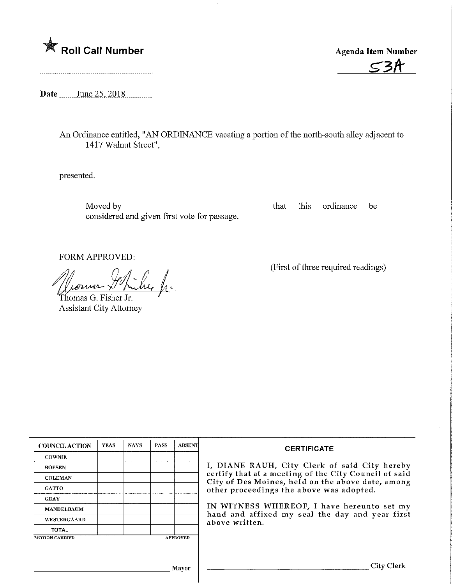

 $\mathsf{C}$ 2A

Date \_\_\_\_\_\_ June 25, 2018

An Ordinance entitled, "AN ORDINANCE vacating a portion of the north-south alley adjacent to 1417 Walnut Street",

presented.

Moved by\_ that this ordinance be considered and given first vote for passage.

FORM APPROVED:

Thomas G. Fisher Jr. Assistant City Attorney (First of three required readings)

| <b>COUNCIL ACTION</b>             | <b>YEAS</b> | <b>NAYS</b> | <b>PASS</b> | <b>ABSENT</b> | <b>CERTIFICATE</b><br>I, DIANE RAUH, City Clerk of said City hereby<br>certify that at a meeting of the City Council of said<br>City of Des Moines, held on the above date, among<br>other proceedings the above was adopted. |  |  |
|-----------------------------------|-------------|-------------|-------------|---------------|-------------------------------------------------------------------------------------------------------------------------------------------------------------------------------------------------------------------------------|--|--|
| <b>COWNIE</b>                     |             |             |             |               |                                                                                                                                                                                                                               |  |  |
| <b>BOESEN</b>                     |             |             |             |               |                                                                                                                                                                                                                               |  |  |
| <b>COLEMAN</b>                    |             |             |             |               |                                                                                                                                                                                                                               |  |  |
| <b>GATTO</b>                      |             |             |             |               |                                                                                                                                                                                                                               |  |  |
| <b>GRAY</b>                       |             |             |             |               |                                                                                                                                                                                                                               |  |  |
| <b>MANDELBAUM</b>                 |             |             |             |               | IN WITNESS WHEREOF, I have hereunto set my<br>hand and affixed my seal the day and year first<br>above written.                                                                                                               |  |  |
| WESTERGAARD                       |             |             |             |               |                                                                                                                                                                                                                               |  |  |
| <b>TOTAL</b>                      |             |             |             |               |                                                                                                                                                                                                                               |  |  |
| <b>MOTION CARRIED</b><br>APPROVED |             |             |             |               |                                                                                                                                                                                                                               |  |  |
|                                   |             |             |             |               |                                                                                                                                                                                                                               |  |  |
|                                   |             |             |             |               |                                                                                                                                                                                                                               |  |  |
| Mayor                             |             |             |             |               |                                                                                                                                                                                                                               |  |  |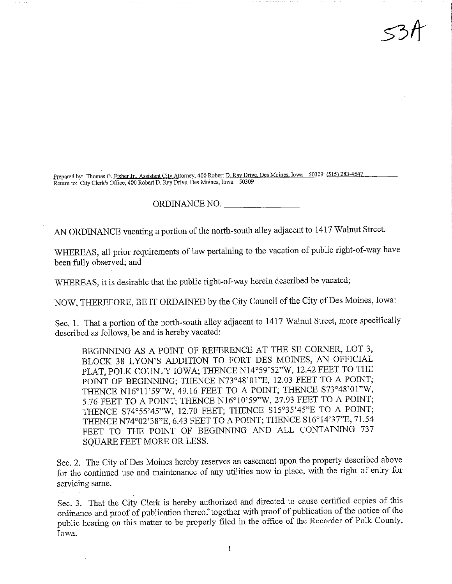repared by: Thomas G. Fisher Jr.. Assistant City Attomey. 400 Robert D, Ray Drive, Des Montes, Towa 5 03 09 (515) 200 - 447  $R$ eturn to: City Clerk's Office, 400 Robert D. Ray Drive, Des Monies, Iowa  $50309$ 

 $34$ 

ORDINANCE NO.

AN ORDINANCE vacating a portion of the north-south alley adjacent to 1417 Walnut Street.

WHEREAS, all prior requirements of law pertaining to the vacation of public right-of-way have been fully observed; and

WHEREAS, it is desirable that the public right-of-way herein described be vacated;

NOW, THEREFORE, BE IT ORDAINED by the City Council of the City of Des Moines, Iowa:

Sec. 1. That a portion of the north-south alley adjacent to 1417 Walnut Street, more specifically described as follows, be and is hereby vacated:

BEGINNING AS A POINT OF REFERENCE AT THE SE CORNER, LOT 3, BLOCK 38 LYON'S ADDITION TO FORT DES MOINES, AN OFFICIAL PLAT, POLK COUNTY IOWA; THENCE N14°59'52"W, 12.42 FEET TO THE POINT OF BEGINNING; THENCE N73°48'01"E, 12.03 FEET TO A POINT; THENCE N16°11'59"W, 49.16 FEET TO A POINT; THENCE S73°48'01"W, 5.76 FEET TO A POINT; THENCE N16°10'59"W, 27.93 FEET TO A POINT; THENCE S74°55?45"W, 12.70 FEET; THENCE S15°35'45"E TO A POINT; THENCE N74°02'38"E, 6.43 FEET TO A POINT; THENCE S16°14'37"E, 71.54 FEET TO THE POINT OF BEGINNING AND ALL CONTAINING 737 SQUARE FEET MORE OR LESS.

Sec. 2. The City of Des Moines hereby reserves an easement upon the property described above for the continued use and maintenance of any utilities now in place, with the right of entry for servicing same.

Sec. 3. That the City Clerk is hereby authorized and directed to cause certified copies of this ordinance and proof of publication thereof together with proof of publication of the notice of the public hearing on this matter to be properly filed in the office of the Recorder of Polk County, Iowa.